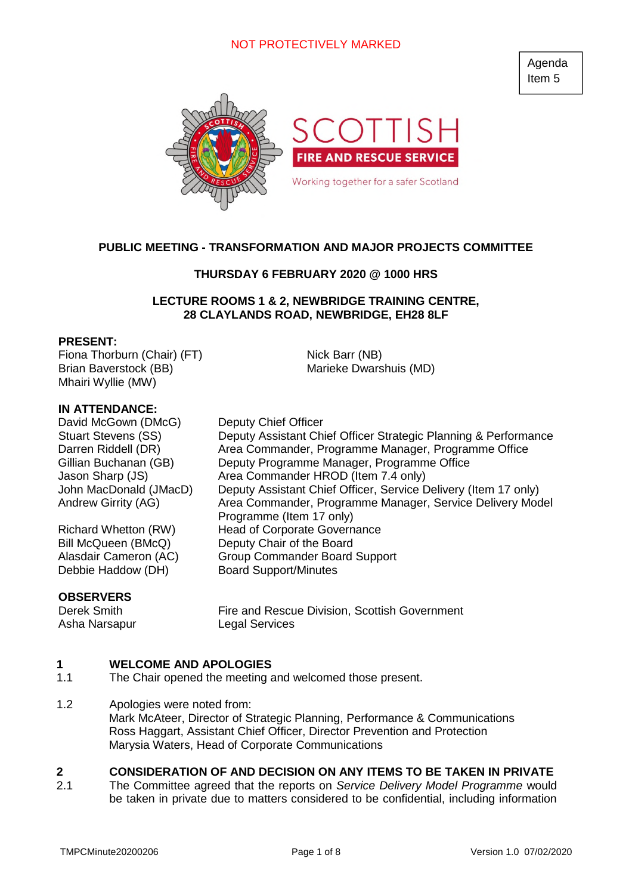# NOT PROTECTIVELY MARKED

Agenda Item 5



## **PUBLIC MEETING - TRANSFORMATION AND MAJOR PROJECTS COMMITTEE**

## **THURSDAY 6 FEBRUARY 2020 @ 1000 HRS**

## **LECTURE ROOMS 1 & 2, NEWBRIDGE TRAINING CENTRE, 28 CLAYLANDS ROAD, NEWBRIDGE, EH28 8LF**

Nick Barr (NB)

Marieke Dwarshuis (MD)

### **PRESENT:**

Fiona Thorburn (Chair) (FT) Brian Baverstock (BB) Mhairi Wyllie (MW)

## **IN ATTENDANCE:**

David McGown (DMcG) Deputy Chief Officer Stuart Stevens (SS) Deputy Assistant Chief Officer Strategic Planning & Performance Darren Riddell (DR) Area Commander, Programme Manager, Programme Office Gillian Buchanan (GB) Deputy Programme Manager, Programme Office Jason Sharp (JS) Area Commander HROD (Item 7.4 only) John MacDonald (JMacD) Deputy Assistant Chief Officer, Service Delivery (Item 17 only) Andrew Girrity (AG) Area Commander, Programme Manager, Service Delivery Model

Richard Whetton (RW) Head of Corporate Governance Bill McQueen (BMcQ) Deputy Chair of the Board Alasdair Cameron (AC) Group Commander Board Support Debbie Haddow (DH) Board Support/Minutes

### **OBSERVERS**

Asha Narsapur Legal Services

Derek Smith Fire and Rescue Division, Scottish Government

#### **1 WELCOME AND APOLOGIES**

- 1.1 The Chair opened the meeting and welcomed those present.
- 1.2 Apologies were noted from: Mark McAteer, Director of Strategic Planning, Performance & Communications Ross Haggart, Assistant Chief Officer, Director Prevention and Protection Marysia Waters, Head of Corporate Communications

Programme (Item 17 only)

#### **2 CONSIDERATION OF AND DECISION ON ANY ITEMS TO BE TAKEN IN PRIVATE**

2.1 The Committee agreed that the reports on *Service Delivery Model Programme* would be taken in private due to matters considered to be confidential, including information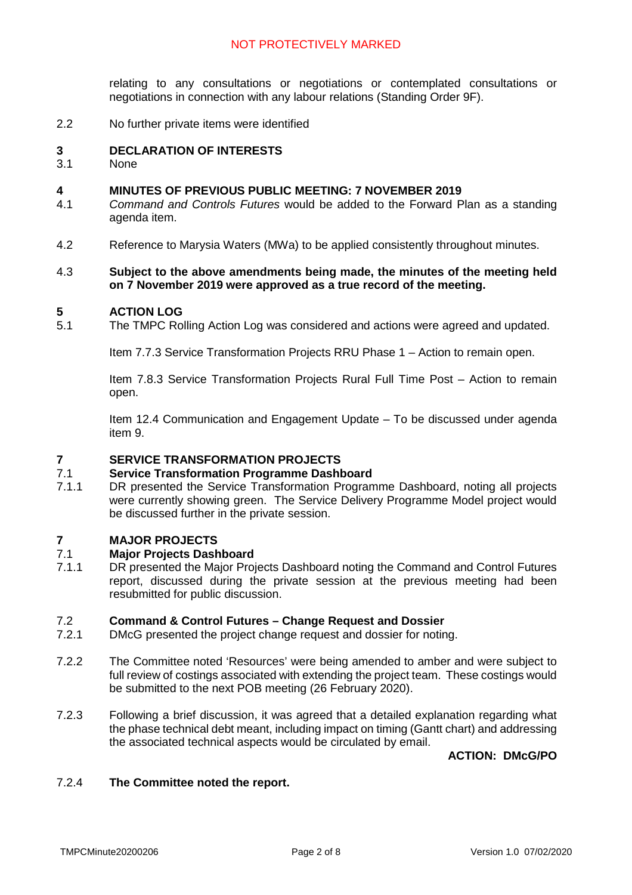# NOT PROTECTIVELY MARKED

relating to any consultations or negotiations or contemplated consultations or negotiations in connection with any labour relations (Standing Order 9F).

2.2 No further private items were identified

#### **3 DECLARATION OF INTERESTS**

3.1 **None** 

#### **4 MINUTES OF PREVIOUS PUBLIC MEETING: 7 NOVEMBER 2019**

- 4.1 *Command and Controls Futures* would be added to the Forward Plan as a standing agenda item.
- 4.2 Reference to Marysia Waters (MWa) to be applied consistently throughout minutes.

### 4.3 **Subject to the above amendments being made, the minutes of the meeting held on 7 November 2019 were approved as a true record of the meeting.**

#### **5 ACTION LOG**

5.1 The TMPC Rolling Action Log was considered and actions were agreed and updated.

Item 7.7.3 Service Transformation Projects RRU Phase 1 – Action to remain open.

Item 7.8.3 Service Transformation Projects Rural Full Time Post – Action to remain open.

Item 12.4 Communication and Engagement Update – To be discussed under agenda item 9.

#### **7 SERVICE TRANSFORMATION PROJECTS**

#### 7.1 **Service Transformation Programme Dashboard**

7.1.1 DR presented the Service Transformation Programme Dashboard, noting all projects were currently showing green. The Service Delivery Programme Model project would be discussed further in the private session.

#### **7 MAJOR PROJECTS**

#### 7.1 **Major Projects Dashboard**

7.1.1 DR presented the Major Projects Dashboard noting the Command and Control Futures report, discussed during the private session at the previous meeting had been resubmitted for public discussion.

#### 7.2 **Command & Control Futures – Change Request and Dossier**

- 7.2.1 DMcG presented the project change request and dossier for noting.
- 7.2.2 The Committee noted 'Resources' were being amended to amber and were subject to full review of costings associated with extending the project team. These costings would be submitted to the next POB meeting (26 February 2020).
- 7.2.3 Following a brief discussion, it was agreed that a detailed explanation regarding what the phase technical debt meant, including impact on timing (Gantt chart) and addressing the associated technical aspects would be circulated by email.

**ACTION: DMcG/PO**

#### 7.2.4 **The Committee noted the report.**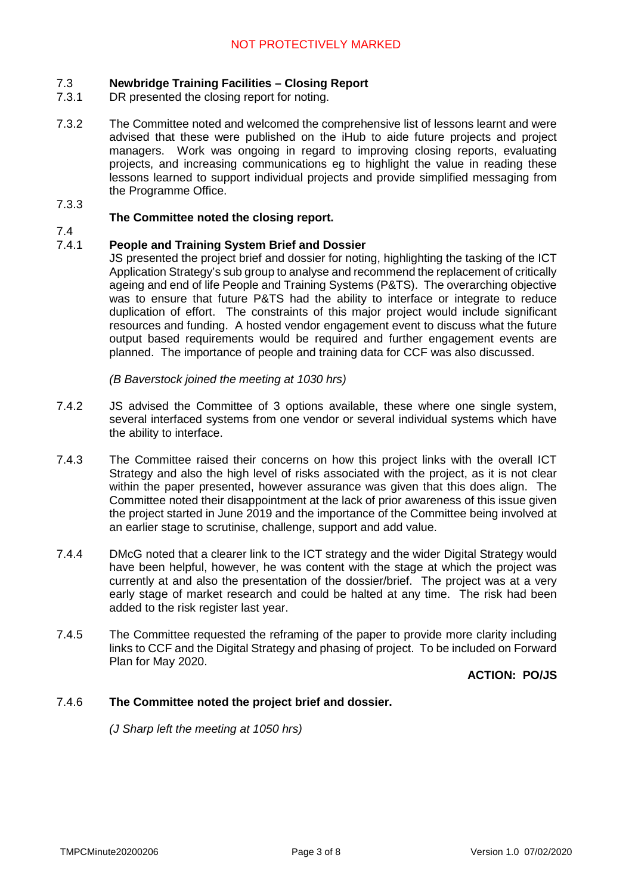#### 7.3 **Newbridge Training Facilities – Closing Report**

- 7.3.1 DR presented the closing report for noting.
- 7.3.2 The Committee noted and welcomed the comprehensive list of lessons learnt and were advised that these were published on the iHub to aide future projects and project managers. Work was ongoing in regard to improving closing reports, evaluating projects, and increasing communications eg to highlight the value in reading these lessons learned to support individual projects and provide simplified messaging from the Programme Office.

## 7.3.3

## **The Committee noted the closing report.**

7.4

#### 7.4.1 **People and Training System Brief and Dossier**

JS presented the project brief and dossier for noting, highlighting the tasking of the ICT Application Strategy's sub group to analyse and recommend the replacement of critically ageing and end of life People and Training Systems (P&TS). The overarching objective was to ensure that future P&TS had the ability to interface or integrate to reduce duplication of effort. The constraints of this major project would include significant resources and funding. A hosted vendor engagement event to discuss what the future output based requirements would be required and further engagement events are planned. The importance of people and training data for CCF was also discussed.

*(B Baverstock joined the meeting at 1030 hrs)*

- 7.4.2 JS advised the Committee of 3 options available, these where one single system, several interfaced systems from one vendor or several individual systems which have the ability to interface.
- 7.4.3 The Committee raised their concerns on how this project links with the overall ICT Strategy and also the high level of risks associated with the project, as it is not clear within the paper presented, however assurance was given that this does align. The Committee noted their disappointment at the lack of prior awareness of this issue given the project started in June 2019 and the importance of the Committee being involved at an earlier stage to scrutinise, challenge, support and add value.
- 7.4.4 DMcG noted that a clearer link to the ICT strategy and the wider Digital Strategy would have been helpful, however, he was content with the stage at which the project was currently at and also the presentation of the dossier/brief. The project was at a very early stage of market research and could be halted at any time. The risk had been added to the risk register last year.
- 7.4.5 The Committee requested the reframing of the paper to provide more clarity including links to CCF and the Digital Strategy and phasing of project. To be included on Forward Plan for May 2020.

**ACTION: PO/JS**

#### 7.4.6 **The Committee noted the project brief and dossier.**

*(J Sharp left the meeting at 1050 hrs)*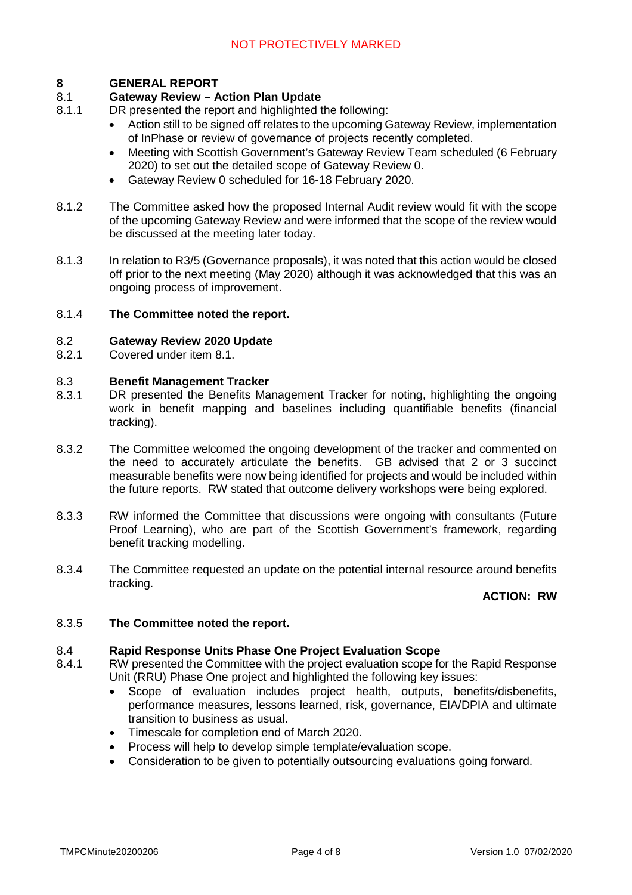#### **8 GENERAL REPORT**

### 8.1 **Gateway Review – Action Plan Update**

- 8.1.1 DR presented the report and highlighted the following:
	- Action still to be signed off relates to the upcoming Gateway Review, implementation of InPhase or review of governance of projects recently completed.
	- Meeting with Scottish Government's Gateway Review Team scheduled (6 February 2020) to set out the detailed scope of Gateway Review 0.
	- Gateway Review 0 scheduled for 16-18 February 2020.
- 8.1.2 The Committee asked how the proposed Internal Audit review would fit with the scope of the upcoming Gateway Review and were informed that the scope of the review would be discussed at the meeting later today.
- 8.1.3 In relation to R3/5 (Governance proposals), it was noted that this action would be closed off prior to the next meeting (May 2020) although it was acknowledged that this was an ongoing process of improvement.

### 8.1.4 **The Committee noted the report.**

### 8.2 **Gateway Review 2020 Update**

8.2.1 Covered under item 8.1.

### 8.3 **Benefit Management Tracker**

- 8.3.1 DR presented the Benefits Management Tracker for noting, highlighting the ongoing work in benefit mapping and baselines including quantifiable benefits (financial tracking).
- 8.3.2 The Committee welcomed the ongoing development of the tracker and commented on the need to accurately articulate the benefits. GB advised that 2 or 3 succinct measurable benefits were now being identified for projects and would be included within the future reports. RW stated that outcome delivery workshops were being explored.
- 8.3.3 RW informed the Committee that discussions were ongoing with consultants (Future Proof Learning), who are part of the Scottish Government's framework, regarding benefit tracking modelling.
- 8.3.4 The Committee requested an update on the potential internal resource around benefits tracking.

# **ACTION: RW**

### 8.3.5 **The Committee noted the report.**

### 8.4 **Rapid Response Units Phase One Project Evaluation Scope**

- 8.4.1 RW presented the Committee with the project evaluation scope for the Rapid Response Unit (RRU) Phase One project and highlighted the following key issues:
	- Scope of evaluation includes project health, outputs, benefits/disbenefits, performance measures, lessons learned, risk, governance, EIA/DPIA and ultimate transition to business as usual.
	- Timescale for completion end of March 2020.
	- Process will help to develop simple template/evaluation scope.
	- Consideration to be given to potentially outsourcing evaluations going forward.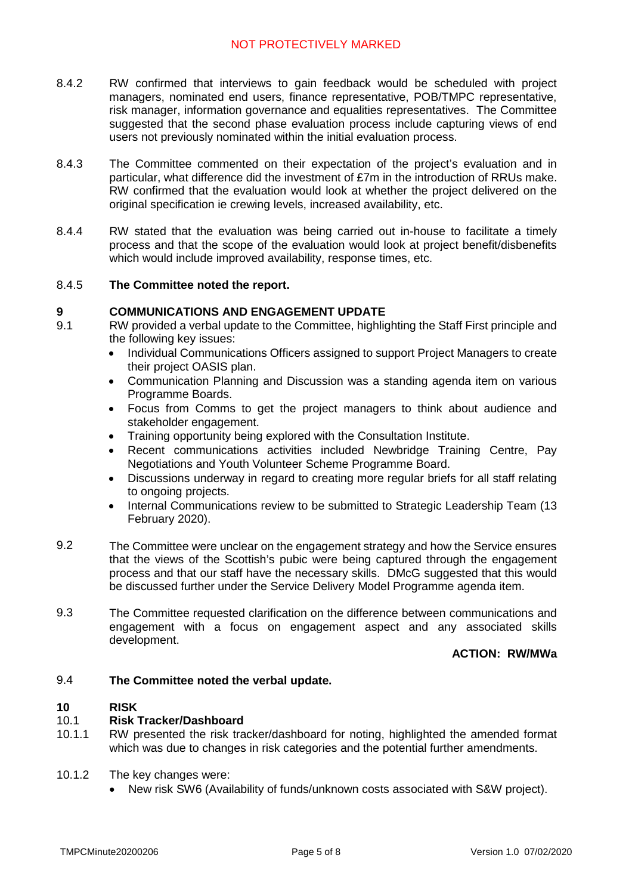- 8.4.2 RW confirmed that interviews to gain feedback would be scheduled with project managers, nominated end users, finance representative, POB/TMPC representative, risk manager, information governance and equalities representatives. The Committee suggested that the second phase evaluation process include capturing views of end users not previously nominated within the initial evaluation process.
- 8.4.3 The Committee commented on their expectation of the project's evaluation and in particular, what difference did the investment of £7m in the introduction of RRUs make. RW confirmed that the evaluation would look at whether the project delivered on the original specification ie crewing levels, increased availability, etc.
- 8.4.4 RW stated that the evaluation was being carried out in-house to facilitate a timely process and that the scope of the evaluation would look at project benefit/disbenefits which would include improved availability, response times, etc.

#### 8.4.5 **The Committee noted the report.**

#### **9 COMMUNICATIONS AND ENGAGEMENT UPDATE**

- 9.1 RW provided a verbal update to the Committee, highlighting the Staff First principle and the following key issues:
	- Individual Communications Officers assigned to support Project Managers to create their project OASIS plan.
	- Communication Planning and Discussion was a standing agenda item on various Programme Boards.
	- Focus from Comms to get the project managers to think about audience and stakeholder engagement.
	- Training opportunity being explored with the Consultation Institute.
	- Recent communications activities included Newbridge Training Centre, Pay Negotiations and Youth Volunteer Scheme Programme Board.
	- Discussions underway in regard to creating more regular briefs for all staff relating to ongoing projects.
	- Internal Communications review to be submitted to Strategic Leadership Team (13 February 2020).
- 9.2 The Committee were unclear on the engagement strategy and how the Service ensures that the views of the Scottish's pubic were being captured through the engagement process and that our staff have the necessary skills. DMcG suggested that this would be discussed further under the Service Delivery Model Programme agenda item.
- 9.3 The Committee requested clarification on the difference between communications and engagement with a focus on engagement aspect and any associated skills development.

## **ACTION: RW/MWa**

#### 9.4 **The Committee noted the verbal update.**

#### **10 RISK**

#### 10.1 **Risk Tracker/Dashboard**

- 10.1.1 RW presented the risk tracker/dashboard for noting, highlighted the amended format which was due to changes in risk categories and the potential further amendments.
- 10.1.2 The key changes were:
	- New risk SW6 (Availability of funds/unknown costs associated with S&W project).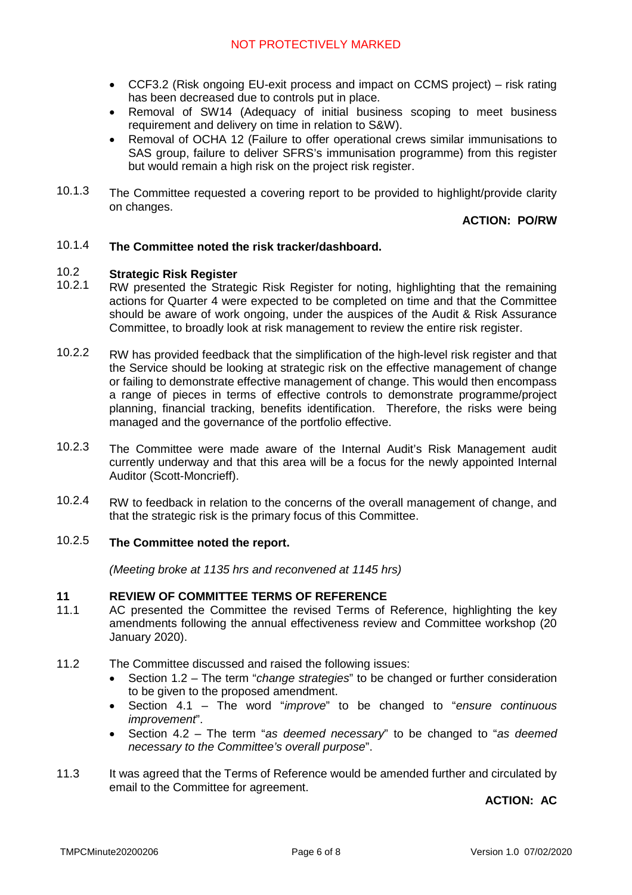- CCF3.2 (Risk ongoing EU-exit process and impact on CCMS project) risk rating has been decreased due to controls put in place.
- Removal of SW14 (Adequacy of initial business scoping to meet business requirement and delivery on time in relation to S&W).
- Removal of OCHA 12 (Failure to offer operational crews similar immunisations to SAS group, failure to deliver SFRS's immunisation programme) from this register but would remain a high risk on the project risk register.
- 10.1.3 The Committee requested a covering report to be provided to highlight/provide clarity on changes.

## **ACTION: PO/RW**

#### 10.1.4 **The Committee noted the risk tracker/dashboard.**

#### 10.2 **Strategic Risk Register**

- 10.2.1 RW presented the Strategic Risk Register for noting, highlighting that the remaining actions for Quarter 4 were expected to be completed on time and that the Committee should be aware of work ongoing, under the auspices of the Audit & Risk Assurance Committee, to broadly look at risk management to review the entire risk register.
- 10.2.2 RW has provided feedback that the simplification of the high-level risk register and that the Service should be looking at strategic risk on the effective management of change or failing to demonstrate effective management of change. This would then encompass a range of pieces in terms of effective controls to demonstrate programme/project planning, financial tracking, benefits identification. Therefore, the risks were being managed and the governance of the portfolio effective.
- 10.2.3 The Committee were made aware of the Internal Audit's Risk Management audit currently underway and that this area will be a focus for the newly appointed Internal Auditor (Scott-Moncrieff).
- 10.2.4 RW to feedback in relation to the concerns of the overall management of change, and that the strategic risk is the primary focus of this Committee.

### 10.2.5 **The Committee noted the report.**

*(Meeting broke at 1135 hrs and reconvened at 1145 hrs)*

#### **11 REVIEW OF COMMITTEE TERMS OF REFERENCE**

- 11.1 AC presented the Committee the revised Terms of Reference, highlighting the key amendments following the annual effectiveness review and Committee workshop (20 January 2020).
- 11.2 The Committee discussed and raised the following issues:
	- Section 1.2 The term "*change strategies*" to be changed or further consideration to be given to the proposed amendment.
	- Section 4.1 The word "*improve*" to be changed to "*ensure continuous improvement*".
	- Section 4.2 The term "*as deemed necessary*" to be changed to "*as deemed necessary to the Committee's overall purpose*".
- 11.3 It was agreed that the Terms of Reference would be amended further and circulated by email to the Committee for agreement.

**ACTION: AC**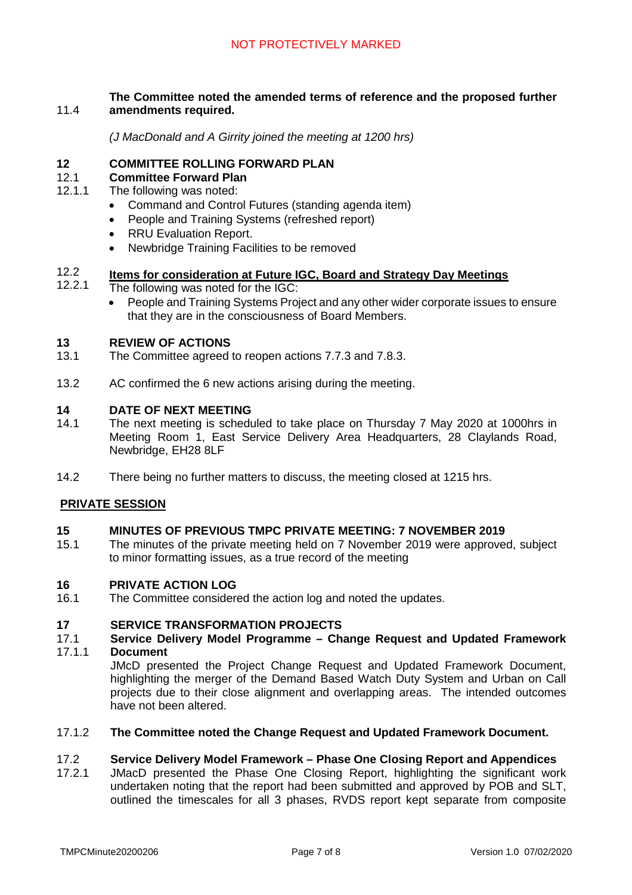### 11.4 **The Committee noted the amended terms of reference and the proposed further amendments required.**

*(J MacDonald and A Girrity joined the meeting at 1200 hrs)*

## **12 COMMITTEE ROLLING FORWARD PLAN**

#### 12.1 **Committee Forward Plan**

- 12.1.1 The following was noted:
	- Command and Control Futures (standing agenda item)
	- People and Training Systems (refreshed report)
	- RRU Evaluation Report.
	- Newbridge Training Facilities to be removed

### 12.2 **Items for consideration at Future IGC, Board and Strategy Day Meetings**

- 12.2.1 The following was noted for the IGC:
	- People and Training Systems Project and any other wider corporate issues to ensure that they are in the consciousness of Board Members.

#### **13 REVIEW OF ACTIONS**

- 13.1 The Committee agreed to reopen actions 7.7.3 and 7.8.3.
- 13.2 AC confirmed the 6 new actions arising during the meeting.

#### **14 DATE OF NEXT MEETING**

- 14.1 The next meeting is scheduled to take place on Thursday 7 May 2020 at 1000hrs in Meeting Room 1, East Service Delivery Area Headquarters, 28 Claylands Road, Newbridge, EH28 8LF
- 14.2 There being no further matters to discuss, the meeting closed at 1215 hrs.

### **PRIVATE SESSION**

#### **15 MINUTES OF PREVIOUS TMPC PRIVATE MEETING: 7 NOVEMBER 2019**

15.1 The minutes of the private meeting held on 7 November 2019 were approved, subject to minor formatting issues, as a true record of the meeting

#### **16 PRIVATE ACTION LOG**

16.1 The Committee considered the action log and noted the updates.

#### **17 SERVICE TRANSFORMATION PROJECTS**

- 17.1 17.1.1 **Service Delivery Model Programme – Change Request and Updated Framework Document**
	- JMcD presented the Project Change Request and Updated Framework Document, highlighting the merger of the Demand Based Watch Duty System and Urban on Call projects due to their close alignment and overlapping areas. The intended outcomes have not been altered.

#### 17.1.2 **The Committee noted the Change Request and Updated Framework Document.**

#### 17.2 **Service Delivery Model Framework – Phase One Closing Report and Appendices**

17.2.1 JMacD presented the Phase One Closing Report, highlighting the significant work undertaken noting that the report had been submitted and approved by POB and SLT, outlined the timescales for all 3 phases, RVDS report kept separate from composite